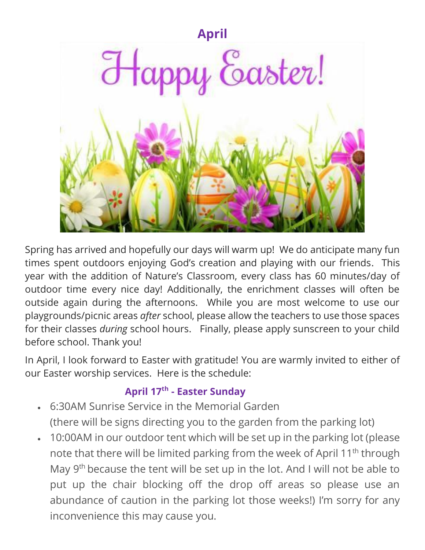

Spring has arrived and hopefully our days will warm up! We do anticipate many fun times spent outdoors enjoying God's creation and playing with our friends. This year with the addition of Nature's Classroom, every class has 60 minutes/day of outdoor time every nice day! Additionally, the enrichment classes will often be outside again during the afternoons. While you are most welcome to use our playgrounds/picnic areas *after* school, please allow the teachers to use those spaces for their classes *during* school hours. Finally, please apply sunscreen to your child before school. Thank you!

In April, I look forward to Easter with gratitude! You are warmly invited to either of our Easter worship services. Here is the schedule:

# **April 17th - Easter Sunday**

- 6:30AM Sunrise Service in the Memorial Garden (there will be signs directing you to the garden from the parking lot)
- 10:00AM in our outdoor tent which will be set up in the parking lot (please note that there will be limited parking from the week of April 11<sup>th</sup> through May 9<sup>th</sup> because the tent will be set up in the lot. And I will not be able to put up the chair blocking off the drop off areas so please use an abundance of caution in the parking lot those weeks!) I'm sorry for any inconvenience this may cause you.